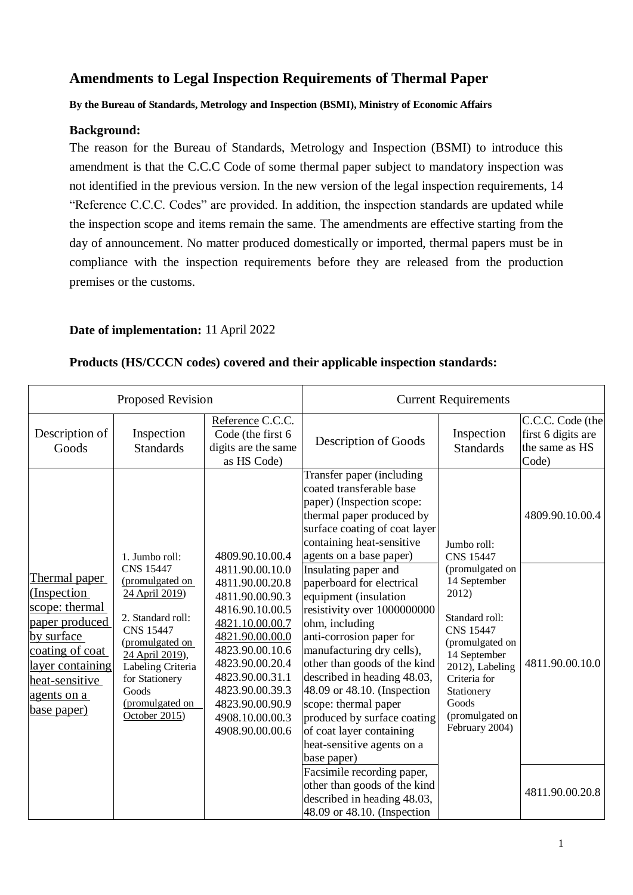# **Amendments to Legal Inspection Requirements of Thermal Paper**

**By the Bureau of Standards, Metrology and Inspection (BSMI), Ministry of Economic Affairs**

### **Background:**

The reason for the Bureau of Standards, Metrology and Inspection (BSMI) to introduce this amendment is that the C.C.C Code of some thermal paper subject to mandatory inspection was not identified in the previous version. In the new version of the legal inspection requirements, 14 "Reference C.C.C. Codes" are provided. In addition, the inspection standards are updated while the inspection scope and items remain the same. The amendments are effective starting from the day of announcement. No matter produced domestically or imported, thermal papers must be in compliance with the inspection requirements before they are released from the production premises or the customs.

## **Date of implementation:** 11 April 2022

#### Proposed Revision **Current Requirements** Description of Goods Inspection **Standards** Reference C.C.C. Code (the first 6 digits are the same as HS Code) Description of Goods **Inspection Standards** C.C.C. Code (the first 6 digits are the same as HS Code) Thermal paper (Inspection scope: thermal paper produced by surface coating of coat layer containing heat-sensitive agents on a base paper) 1. Jumbo roll: CNS 15447 (promulgated on 24 April 2019) 2. Standard roll: CNS 15447 (promulgated on 24 April 2019), Labeling Criteria for Stationery Goods (promulgated on October 2015) 4809.90.10.00.4 4811.90.00.10.0 4811.90.00.20.8 4811.90.00.90.3 4816.90.10.00.5 4821.10.00.00.7 4821.90.00.00.0 4823.90.00.10.6 4823.90.00.20.4 4823.90.00.31.1 4823.90.00.39.3 4823.90.00.90.9 4908.10.00.00.3 4908.90.00.00.6 Transfer paper (including coated transferable base paper) (Inspection scope: thermal paper produced by surface coating of coat layer containing heat-sensitive agents on a base paper) Jumbo roll: CNS 15447 (promulgated on 14 September 2012) Standard roll: CNS 15447 (promulgated on 14 September 2012), Labeling Criteria for Stationery Goods (promulgated on February 2004) 4809.90.10.00.4 Insulating paper and paperboard for electrical equipment (insulation resistivity over 1000000000 ohm, including anti-corrosion paper for manufacturing dry cells), other than goods of the kind described in heading 48.03, 48.09 or 48.10. (Inspection scope: thermal paper produced by surface coating of coat layer containing heat-sensitive agents on a base paper) 4811.90.00.10.0 Facsimile recording paper, other than goods of the kind described in heading 48.03, 48.09 or 48.10. (Inspection 4811.90.00.20.8

#### **Products (HS/CCCN codes) covered and their applicable inspection standards:**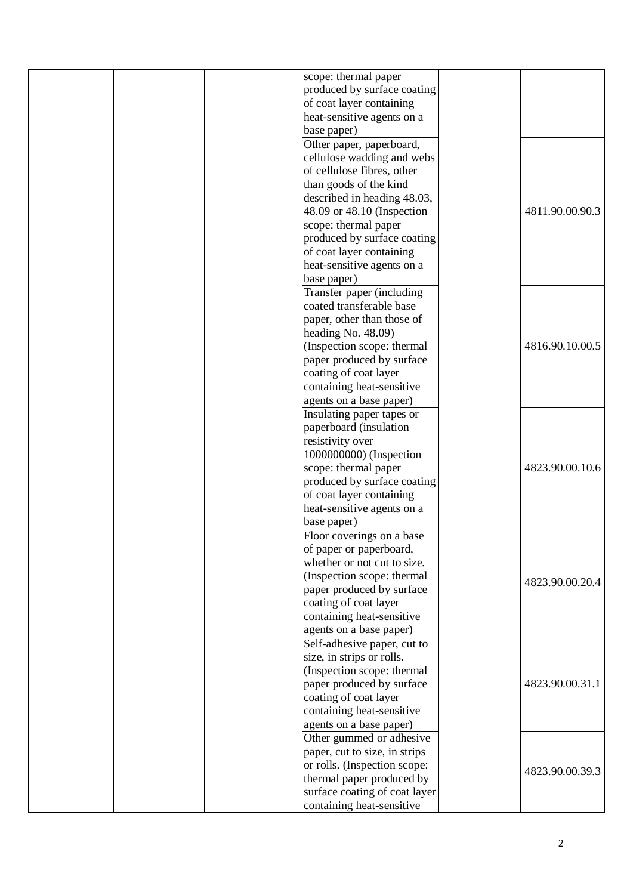| scope: thermal paper          |                 |
|-------------------------------|-----------------|
| produced by surface coating   |                 |
| of coat layer containing      |                 |
| heat-sensitive agents on a    |                 |
| base paper)                   |                 |
| Other paper, paperboard,      |                 |
| cellulose wadding and webs    |                 |
| of cellulose fibres, other    |                 |
| than goods of the kind        |                 |
| described in heading 48.03,   |                 |
| 48.09 or 48.10 (Inspection    | 4811.90.00.90.3 |
| scope: thermal paper          |                 |
| produced by surface coating   |                 |
| of coat layer containing      |                 |
| heat-sensitive agents on a    |                 |
| base paper)                   |                 |
| Transfer paper (including     |                 |
| coated transferable base      |                 |
| paper, other than those of    |                 |
| heading No. 48.09)            |                 |
| (Inspection scope: thermal    | 4816.90.10.00.5 |
| paper produced by surface     |                 |
| coating of coat layer         |                 |
| containing heat-sensitive     |                 |
| agents on a base paper)       |                 |
| Insulating paper tapes or     |                 |
| paperboard (insulation        |                 |
| resistivity over              |                 |
| 1000000000) (Inspection       |                 |
| scope: thermal paper          | 4823.90.00.10.6 |
| produced by surface coating   |                 |
| of coat layer containing      |                 |
| heat-sensitive agents on a    |                 |
| base paper)                   |                 |
| Floor coverings on a base     |                 |
| of paper or paperboard,       |                 |
| whether or not cut to size.   |                 |
| (Inspection scope: thermal    |                 |
| paper produced by surface     | 4823.90.00.20.4 |
| coating of coat layer         |                 |
| containing heat-sensitive     |                 |
| agents on a base paper)       |                 |
| Self-adhesive paper, cut to   |                 |
| size, in strips or rolls.     |                 |
| (Inspection scope: thermal    |                 |
| paper produced by surface     | 4823.90.00.31.1 |
| coating of coat layer         |                 |
| containing heat-sensitive     |                 |
| agents on a base paper)       |                 |
| Other gummed or adhesive      |                 |
| paper, cut to size, in strips |                 |
| or rolls. (Inspection scope:  |                 |
| thermal paper produced by     | 4823.90.00.39.3 |
| surface coating of coat layer |                 |
| containing heat-sensitive     |                 |